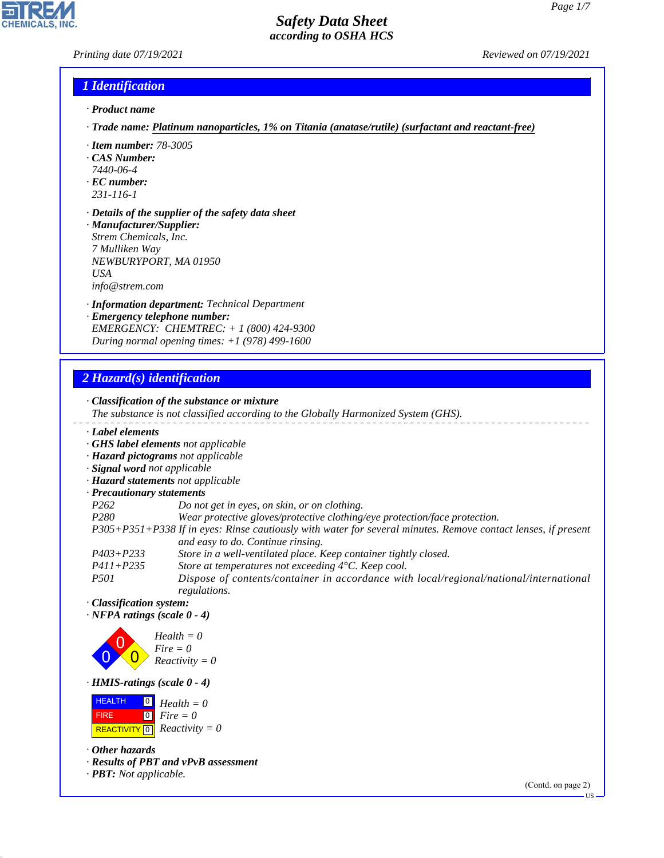### *Printing date 07/19/2021 Reviewed on 07/19/2021*

## *1 Identification*

- *· Product name*
- *· Trade name: Platinum nanoparticles, 1% on Titania (anatase/rutile) (surfactant and reactant-free)*
- *· Item number: 78-3005*
- *· CAS Number:*
- *7440-06-4*
- *· EC number: 231-116-1*
- 
- *· Details of the supplier of the safety data sheet · Manufacturer/Supplier:*
- *Strem Chemicals, Inc. 7 Mulliken Way NEWBURYPORT, MA 01950 USA info@strem.com*
- *· Information department: Technical Department*
- *· Emergency telephone number: EMERGENCY: CHEMTREC: + 1 (800) 424-9300 During normal opening times: +1 (978) 499-1600*

# *2 Hazard(s) identification*

*· Classification of the substance or mixture The substance is not classified according to the Globally Harmonized System (GHS). · Label elements · GHS label elements not applicable · Hazard pictograms not applicable · Signal word not applicable · Hazard statements not applicable · Precautionary statements P262 Do not get in eyes, on skin, or on clothing. P280 Wear protective gloves/protective clothing/eye protection/face protection. P305+P351+P338 If in eyes: Rinse cautiously with water for several minutes. Remove contact lenses, if present and easy to do. Continue rinsing. P403+P233 Store in a well-ventilated place. Keep container tightly closed.*

- *P411+P235 Store at temperatures not exceeding 4°C. Keep cool.*
- *P501 Dispose of contents/container in accordance with local/regional/national/international regulations.*
- *· Classification system:*

*· NFPA ratings (scale 0 - 4)*



*· HMIS-ratings (scale 0 - 4)*

**HEALTH**  FIRE  $\boxed{\text{REACTIVITY} \boxed{0}}$  Reactivity = 0 0 *Health = 0* 0 *Fire = 0*

*· Other hazards*

44.1.1

*· Results of PBT and vPvB assessment*

*· PBT: Not applicable.*

(Contd. on page 2)

US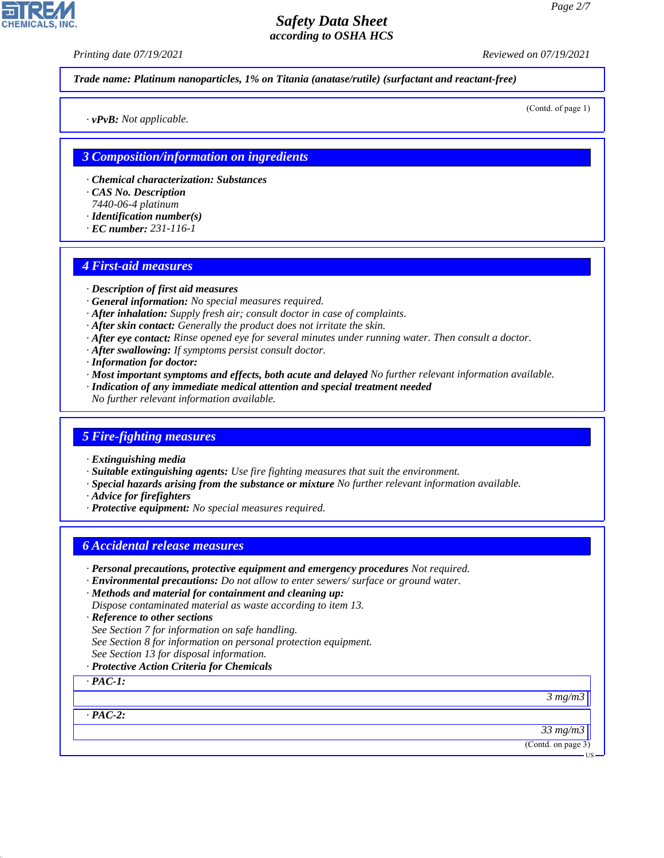*Printing date 07/19/2021 Reviewed on 07/19/2021*

*Trade name: Platinum nanoparticles, 1% on Titania (anatase/rutile) (surfactant and reactant-free)*

(Contd. of page 1)

*· vPvB: Not applicable.*

#### *3 Composition/information on ingredients*

- *· Chemical characterization: Substances*
- *· CAS No. Description*
- *7440-06-4 platinum*
- *· Identification number(s)*
- *· EC number: 231-116-1*

#### *4 First-aid measures*

- *· Description of first aid measures*
- *· General information: No special measures required.*
- *· After inhalation: Supply fresh air; consult doctor in case of complaints.*
- *· After skin contact: Generally the product does not irritate the skin.*
- *· After eye contact: Rinse opened eye for several minutes under running water. Then consult a doctor.*
- *· After swallowing: If symptoms persist consult doctor.*
- *· Information for doctor:*
- *· Most important symptoms and effects, both acute and delayed No further relevant information available.*
- *· Indication of any immediate medical attention and special treatment needed*
- *No further relevant information available.*

#### *5 Fire-fighting measures*

- *· Extinguishing media*
- *· Suitable extinguishing agents: Use fire fighting measures that suit the environment.*
- *· Special hazards arising from the substance or mixture No further relevant information available.*
- *· Advice for firefighters*
- *· Protective equipment: No special measures required.*

## *6 Accidental release measures*

- *· Personal precautions, protective equipment and emergency procedures Not required.*
- *· Environmental precautions: Do not allow to enter sewers/ surface or ground water.*
- *· Methods and material for containment and cleaning up: Dispose contaminated material as waste according to item 13.*
- *· Reference to other sections*
- *See Section 7 for information on safe handling.*
- *See Section 8 for information on personal protection equipment.*
- *See Section 13 for disposal information.*
- *· Protective Action Criteria for Chemicals*

*· PAC-1:*

*3 mg/m3*

*· PAC-2:*

44.1.1

*33 mg/m3*

(Contd. on page 3)



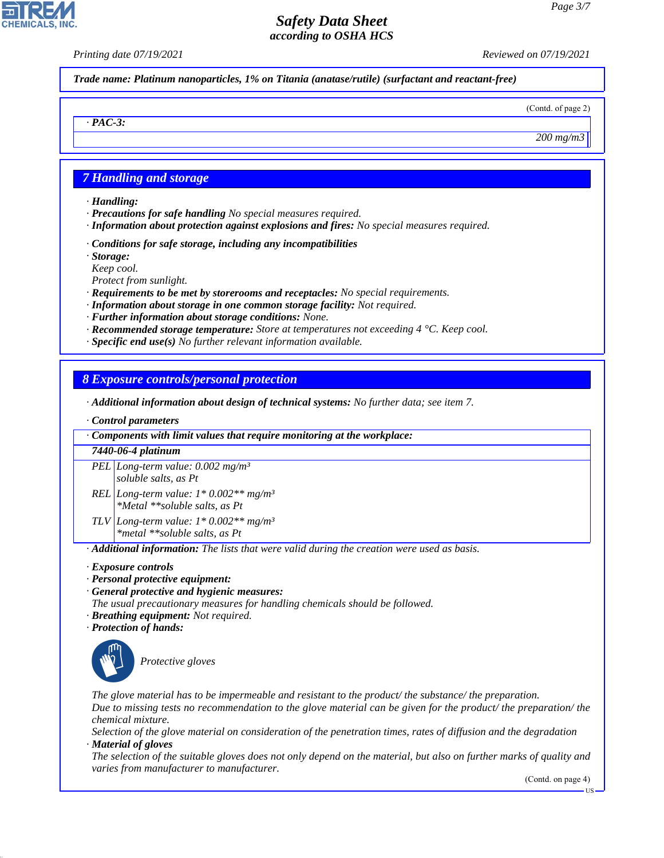*Printing date 07/19/2021 Reviewed on 07/19/2021*

*Trade name: Platinum nanoparticles, 1% on Titania (anatase/rutile) (surfactant and reactant-free)*

(Contd. of page 2)

*200 mg/m3*

# *7 Handling and storage*

*· Handling:*

*· PAC-3:*

- *· Precautions for safe handling No special measures required.*
- *· Information about protection against explosions and fires: No special measures required.*
- *· Conditions for safe storage, including any incompatibilities*
- *· Storage:*
- *Keep cool.*

*Protect from sunlight.*

- *· Requirements to be met by storerooms and receptacles: No special requirements.*
- *· Information about storage in one common storage facility: Not required.*
- *· Further information about storage conditions: None.*
- *· Recommended storage temperature: Store at temperatures not exceeding 4 °C. Keep cool.*
- *· Specific end use(s) No further relevant information available.*

## *8 Exposure controls/personal protection*

- *· Additional information about design of technical systems: No further data; see item 7.*
- *· Control parameters*

*· Components with limit values that require monitoring at the workplace:*

#### *7440-06-4 platinum*

*PEL Long-term value: 0.002 mg/m³ soluble salts, as Pt REL Long-term value: 1\* 0.002\*\* mg/m³*

*\*Metal \*\*soluble salts, as Pt*

*TLV Long-term value: 1\* 0.002\*\* mg/m³ \*metal \*\*soluble salts, as Pt*

*· Additional information: The lists that were valid during the creation were used as basis.*

- *· Exposure controls*
- *· Personal protective equipment:*
- *· General protective and hygienic measures:*
- *The usual precautionary measures for handling chemicals should be followed.*
- *· Breathing equipment: Not required.*
- *· Protection of hands:*



44.1.1

\_S*Protective gloves*

*The glove material has to be impermeable and resistant to the product/ the substance/ the preparation. Due to missing tests no recommendation to the glove material can be given for the product/ the preparation/ the chemical mixture.*

*Selection of the glove material on consideration of the penetration times, rates of diffusion and the degradation · Material of gloves*

*The selection of the suitable gloves does not only depend on the material, but also on further marks of quality and varies from manufacturer to manufacturer.*

(Contd. on page 4)

US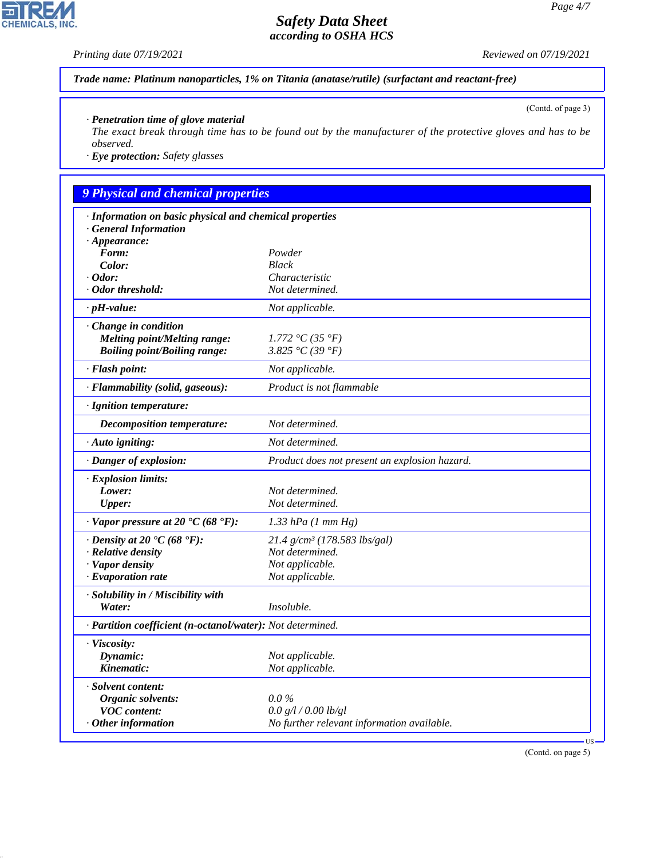## *Printing date 07/19/2021 Reviewed on 07/19/2021*

P

**CHEMICALS, INC.** 

44.1.1

(Contd. of page 3)

*Trade name: Platinum nanoparticles, 1% on Titania (anatase/rutile) (surfactant and reactant-free)*

*· Penetration time of glove material*

*The exact break through time has to be found out by the manufacturer of the protective gloves and has to be observed.*

*· Eye protection: Safety glasses*

# *9 Physical and chemical properties*

| · Information on basic physical and chemical properties     |                                               |  |
|-------------------------------------------------------------|-----------------------------------------------|--|
| <b>General Information</b><br>$\cdot$ Appearance:           |                                               |  |
| Form:                                                       | Powder                                        |  |
| Color:                                                      | <b>Black</b>                                  |  |
| $\cdot$ Odor:                                               | Characteristic                                |  |
| · Odor threshold:                                           | Not determined.                               |  |
| $\cdot$ pH-value:                                           | Not applicable.                               |  |
| Change in condition                                         |                                               |  |
| <b>Melting point/Melting range:</b>                         | 1.772 °C (35 °F)                              |  |
| <b>Boiling point/Boiling range:</b>                         | 3.825 °C (39 °F)                              |  |
| · Flash point:                                              | Not applicable.                               |  |
| · Flammability (solid, gaseous):                            | Product is not flammable                      |  |
| · Ignition temperature:                                     |                                               |  |
| Decomposition temperature:                                  | Not determined.                               |  |
| · Auto igniting:                                            | Not determined.                               |  |
| · Danger of explosion:                                      | Product does not present an explosion hazard. |  |
| · Explosion limits:                                         |                                               |  |
| Lower:                                                      | Not determined.                               |  |
| <b>Upper:</b>                                               | Not determined.                               |  |
| $\cdot$ Vapor pressure at 20 °C (68 °F):                    | $1.33$ hPa $(1$ mm Hg)                        |  |
| $\cdot$ Density at 20 $\textdegree$ C (68 $\textdegree$ F): | $21.4$ g/cm <sup>3</sup> (178.583 lbs/gal)    |  |
| · Relative density                                          | Not determined.                               |  |
| · Vapor density                                             | Not applicable.                               |  |
| $\cdot$ Evaporation rate                                    | Not applicable.                               |  |
| · Solubility in / Miscibility with                          |                                               |  |
| Water:                                                      | Insoluble.                                    |  |
| · Partition coefficient (n-octanol/water): Not determined.  |                                               |  |
| · Viscosity:                                                |                                               |  |
| Dynamic:                                                    | Not applicable.                               |  |
| Kinematic:                                                  | Not applicable.                               |  |
| · Solvent content:                                          |                                               |  |
| Organic solvents:                                           | $0.0\%$                                       |  |
| <b>VOC</b> content:                                         | 0.0 g/l / 0.00 lb/gl                          |  |
| Other information                                           | No further relevant information available.    |  |
|                                                             |                                               |  |

(Contd. on page 5)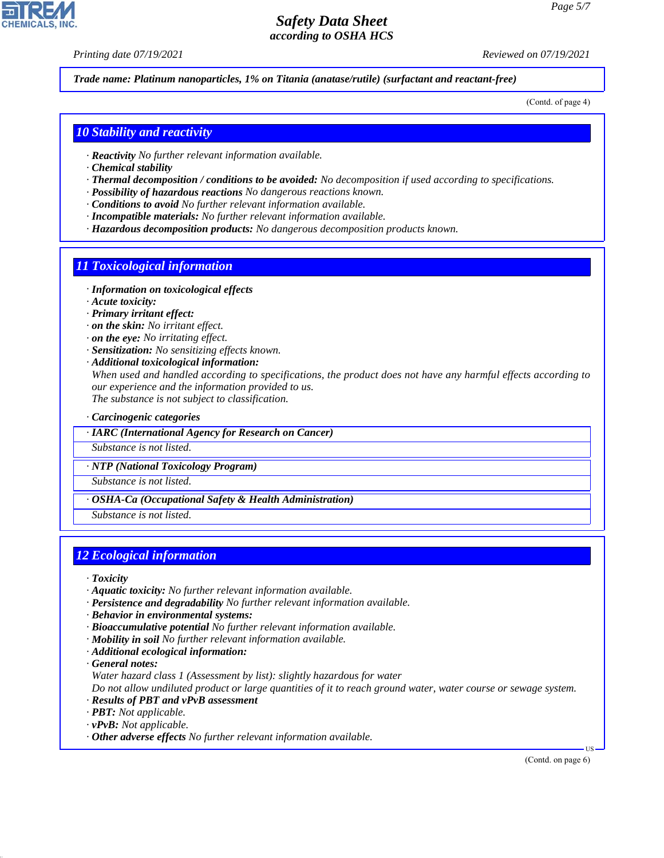*Printing date 07/19/2021 Reviewed on 07/19/2021*

*Trade name: Platinum nanoparticles, 1% on Titania (anatase/rutile) (surfactant and reactant-free)*

(Contd. of page 4)

## *10 Stability and reactivity*

- *· Reactivity No further relevant information available.*
- *· Chemical stability*
- *· Thermal decomposition / conditions to be avoided: No decomposition if used according to specifications.*
- *· Possibility of hazardous reactions No dangerous reactions known.*
- *· Conditions to avoid No further relevant information available.*
- *· Incompatible materials: No further relevant information available.*
- *· Hazardous decomposition products: No dangerous decomposition products known.*

#### *11 Toxicological information*

- *· Information on toxicological effects*
- *· Acute toxicity:*
- *· Primary irritant effect:*
- *· on the skin: No irritant effect.*
- *· on the eye: No irritating effect.*
- *· Sensitization: No sensitizing effects known.*
- *· Additional toxicological information: When used and handled according to specifications, the product does not have any harmful effects according to our experience and the information provided to us. The substance is not subject to classification.*

*· Carcinogenic categories*

*· IARC (International Agency for Research on Cancer)*

*Substance is not listed.*

*· NTP (National Toxicology Program)*

*Substance is not listed.*

*· OSHA-Ca (Occupational Safety & Health Administration)*

*Substance is not listed.*

## *12 Ecological information*

- *· Toxicity*
- *· Aquatic toxicity: No further relevant information available.*
- *· Persistence and degradability No further relevant information available.*
- *· Behavior in environmental systems:*
- *· Bioaccumulative potential No further relevant information available.*
- *· Mobility in soil No further relevant information available.*
- *· Additional ecological information:*

*· General notes:*

44.1.1

*Water hazard class 1 (Assessment by list): slightly hazardous for water*

*Do not allow undiluted product or large quantities of it to reach ground water, water course or sewage system.*

- *· Results of PBT and vPvB assessment*
- *· PBT: Not applicable.*
- *· vPvB: Not applicable.*
- *· Other adverse effects No further relevant information available.*

(Contd. on page 6)

US

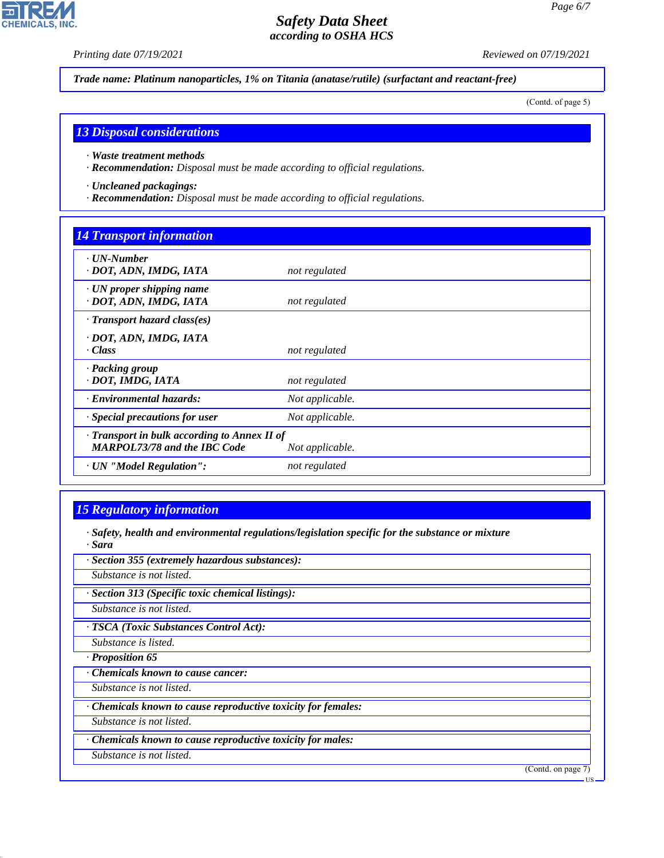H

**CHEMICALS, INC.** 

*Printing date 07/19/2021 Reviewed on 07/19/2021*

*Trade name: Platinum nanoparticles, 1% on Titania (anatase/rutile) (surfactant and reactant-free)*

(Contd. of page 5)

## *13 Disposal considerations*

- *· Waste treatment methods*
- *· Recommendation: Disposal must be made according to official regulations.*
- *· Uncleaned packagings:*
- *· Recommendation: Disposal must be made according to official regulations.*

# *14 Transport information*

| $\cdot$ UN-Number<br>· DOT, ADN, IMDG, IATA                                                            | not regulated   |  |
|--------------------------------------------------------------------------------------------------------|-----------------|--|
| $\cdot$ UN proper shipping name<br>· DOT, ADN, IMDG, IATA                                              | not regulated   |  |
| · Transport hazard class(es)                                                                           |                 |  |
| · DOT, ADN, IMDG, IATA<br>$\cdot Class$                                                                | not regulated   |  |
| · Packing group<br>· DOT, IMDG, IATA                                                                   | not regulated   |  |
| · Environmental hazards:                                                                               | Not applicable. |  |
| · Special precautions for user                                                                         | Not applicable. |  |
| · Transport in bulk according to Annex II of<br><b>MARPOL73/78 and the IBC Code</b><br>Not applicable. |                 |  |
| · UN "Model Regulation":                                                                               | not regulated   |  |

# *15 Regulatory information*

44.1.1

*· Safety, health and environmental regulations/legislation specific for the substance or mixture · Sara*

| · Section 355 (extremely hazardous substances):               |                    |
|---------------------------------------------------------------|--------------------|
| Substance is not listed.                                      |                    |
| · Section 313 (Specific toxic chemical listings):             |                    |
| Substance is not listed.                                      |                    |
| · TSCA (Toxic Substances Control Act):                        |                    |
| Substance is listed.                                          |                    |
| · Proposition 65                                              |                    |
| Chemicals known to cause cancer:                              |                    |
| Substance is not listed.                                      |                    |
| · Chemicals known to cause reproductive toxicity for females: |                    |
| Substance is not listed.                                      |                    |
| · Chemicals known to cause reproductive toxicity for males:   |                    |
| Substance is not listed.                                      |                    |
|                                                               | (Contd. on page 7) |
|                                                               | - US               |